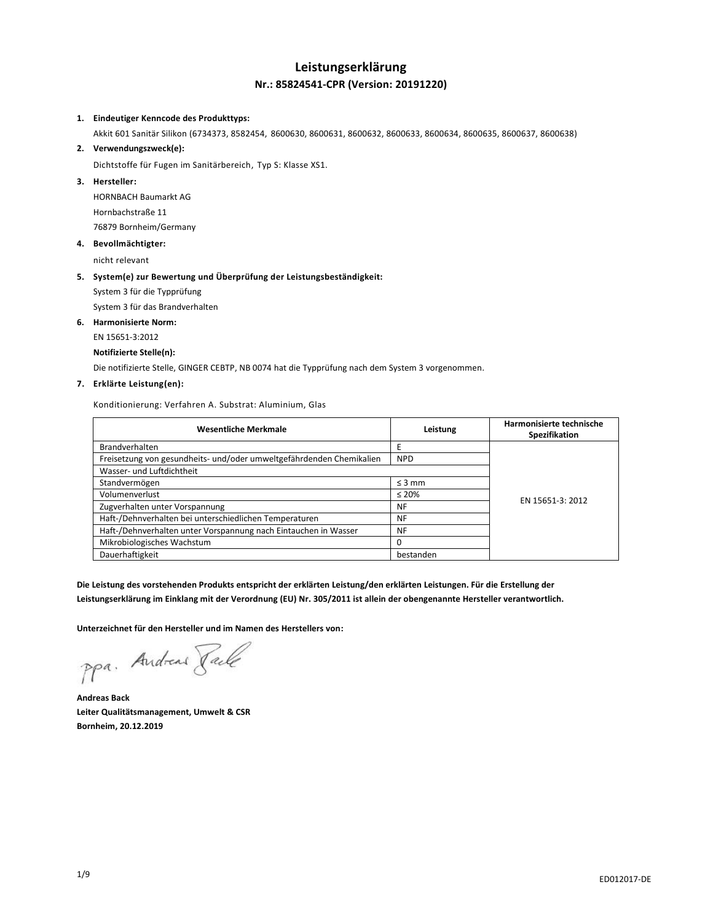## **Leistungserklärung Nr.: 85824541-CPR (Version: 20191220)**

#### **1. Eindeutiger Kenncode des Produkttyps:**

Akkit 601 Sanitär Silikon (6734373, 8582454, 8600630, 8600631, 8600632, 8600633, 8600634, 8600635, 8600637, 8600638)

#### **2. Verwendungszweck(e):**

Dichtstoffe für Fugen im Sanitärbereich, Typ S: Klasse XS1.

## **3. Hersteller:**

HORNBACH Baumarkt AG Hornbachstraße 11 76879 Bornheim/Germany

#### **4. Bevollmächtigter:**

nicht relevant

#### **5. System(e) zur Bewertung und Überprüfung der Leistungsbeständigkeit:**

System 3 für die Typprüfung

System 3 für das Brandverhalten

#### **6. Harmonisierte Norm:**

EN 15651-3:2012

#### **Notifizierte Stelle(n):**

Die notifizierte Stelle, GINGER CEBTP, NB 0074 hat die Typprüfung nach dem System 3 vorgenommen.

#### **7. Erklärte Leistung(en):**

Konditionierung: Verfahren A. Substrat: Aluminium, Glas

| <b>Wesentliche Merkmale</b>                                          | Leistung    | Harmonisierte technische<br>Spezifikation |
|----------------------------------------------------------------------|-------------|-------------------------------------------|
| <b>Brandverhalten</b>                                                |             |                                           |
| Freisetzung von gesundheits- und/oder umweltgefährdenden Chemikalien | <b>NPD</b>  |                                           |
| Wasser- und Luftdichtheit                                            |             |                                           |
| Standvermögen                                                        | $\leq$ 3 mm | EN 15651-3: 2012                          |
| Volumenverlust                                                       | $\leq 20\%$ |                                           |
| Zugverhalten unter Vorspannung                                       | NF          |                                           |
| Haft-/Dehnverhalten bei unterschiedlichen Temperaturen               | NF          |                                           |
| Haft-/Dehnverhalten unter Vorspannung nach Eintauchen in Wasser      | NF          |                                           |
| Mikrobiologisches Wachstum                                           |             |                                           |
| Dauerhaftigkeit                                                      | bestanden   |                                           |

**Die Leistung des vorstehenden Produkts entspricht der erklärten Leistung/den erklärten Leistungen. Für die Erstellung der Leistungserklärung im Einklang mit der Verordnung (EU) Nr. 305/2011 ist allein der obengenannte Hersteller verantwortlich.**

**Unterzeichnet für den Hersteller und im Namen des Herstellers von:**

ppa. Andreas Pale

**Andreas Back Leiter Qualitätsmanagement, Umwelt & CSR Bornheim, 20.12.2019**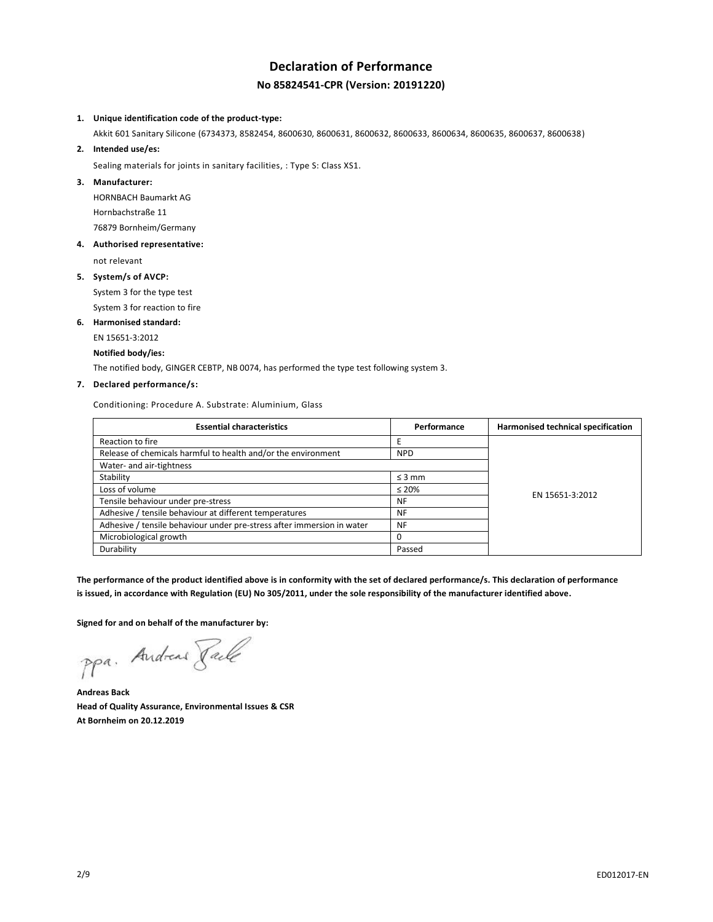# **Declaration of Performance No 85824541-CPR (Version: 20191220)**

#### **1. Unique identification code of the product-type:**

Akkit 601 Sanitary Silicone (6734373, 8582454, 8600630, 8600631, 8600632, 8600633, 8600634, 8600635, 8600637, 8600638)

**2. Intended use/es:**

Sealing materials for joints in sanitary facilities, : Type S: Class XS1.

#### **3. Manufacturer:**

HORNBACH Baumarkt AG Hornbachstraße 11 76879 Bornheim/Germany

#### **4. Authorised representative:**

not relevant

## **5. System/s of AVCP:**

System 3 for the type test

System 3 for reaction to fire

## **6. Harmonised standard:**

EN 15651-3:2012

## **Notified body/ies:**

The notified body, GINGER CEBTP, NB 0074, has performed the type test following system 3.

## **7. Declared performance/s:**

Conditioning: Procedure A. Substrate: Aluminium, Glass

| <b>Essential characteristics</b>                                       | Performance | Harmonised technical specification |
|------------------------------------------------------------------------|-------------|------------------------------------|
| Reaction to fire                                                       |             |                                    |
| Release of chemicals harmful to health and/or the environment          | <b>NPD</b>  |                                    |
| Water- and air-tightness                                               |             |                                    |
| Stability                                                              | $\leq$ 3 mm |                                    |
| Loss of volume                                                         | $\leq 20\%$ | EN 15651-3:2012                    |
| Tensile behaviour under pre-stress                                     | NF          |                                    |
| Adhesive / tensile behaviour at different temperatures                 | NF          |                                    |
| Adhesive / tensile behaviour under pre-stress after immersion in water | NF          |                                    |
| Microbiological growth                                                 |             |                                    |
| Durability                                                             | Passed      |                                    |

**The performance of the product identified above is in conformity with the set of declared performance/s. This declaration of performance is issued, in accordance with Regulation (EU) No 305/2011, under the sole responsibility of the manufacturer identified above.**

**Signed for and on behalf of the manufacturer by:**

ppa. Andreas Pale

**Andreas Back Head of Quality Assurance, Environmental Issues & CSR At Bornheim on 20.12.2019**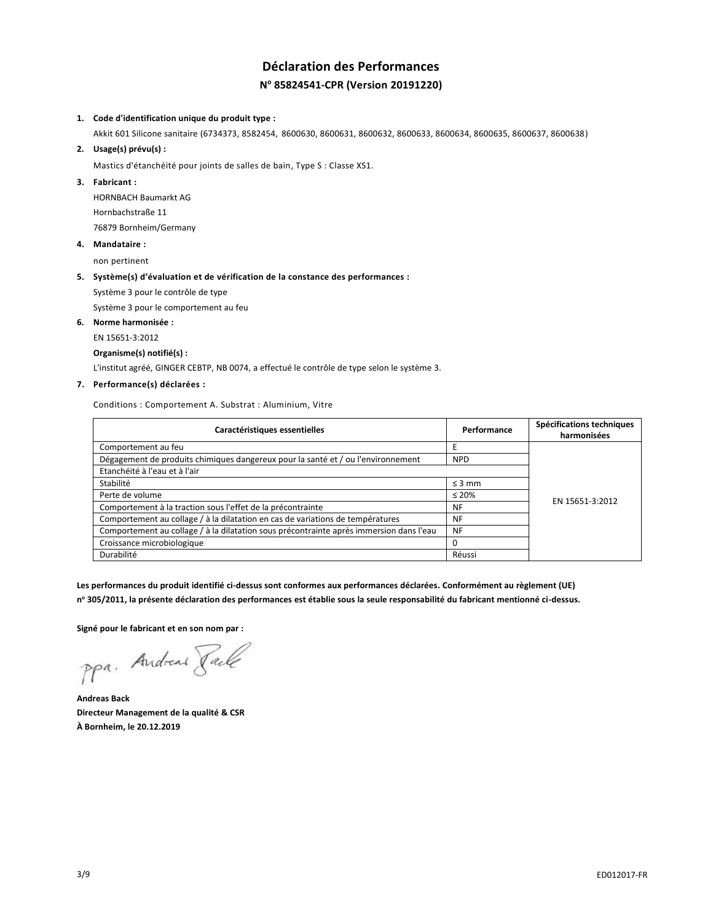# **Déclaration des Performances N <sup>o</sup> 85824541-CPR (Version 20191220)**

#### **1. Code d'identification unique du produit type :**

Akkit 601 Silicone sanitaire (6734373, 8582454, 8600630, 8600631, 8600632, 8600633, 8600634, 8600635, 8600637, 8600638)

#### **2. Usage(s) prévu(s) :**

Mastics d'étanchéité pour joints de salles de bain, Type S : Classe XS1.

#### **3. Fabricant :**

HORNBACH Baumarkt AG Hornbachstraße 11 76879 Bornheim/Germany

#### **4. Mandataire :**

non pertinent

#### **5. Système(s) d'évaluation et de vérification de la constance des performances :**

Système 3 pour le contrôle de type

Système 3 pour le comportement au feu

#### **6. Norme harmonisée :**

EN 15651-3:2012

#### **Organisme(s) notifié(s) :**

L'institut agréé, GINGER CEBTP, NB 0074, a effectué le contrôle de type selon le système 3.

## **7. Performance(s) déclarées :**

Conditions : Comportement A. Substrat : Aluminium, Vitre

| Caractéristiques essentielles                                                           | Performance | Spécifications techniques<br>harmonisées |
|-----------------------------------------------------------------------------------------|-------------|------------------------------------------|
| Comportement au feu                                                                     |             |                                          |
| Dégagement de produits chimiques dangereux pour la santé et / ou l'environnement        | <b>NPD</b>  |                                          |
| Etanchéité à l'eau et à l'air                                                           |             |                                          |
| Stabilité                                                                               | $\leq$ 3 mm |                                          |
| Perte de volume                                                                         | $\leq 20\%$ | EN 15651-3:2012                          |
| Comportement à la traction sous l'effet de la précontrainte                             | NF          |                                          |
| Comportement au collage / à la dilatation en cas de variations de températures          | <b>NF</b>   |                                          |
| Comportement au collage / à la dilatation sous précontrainte après immersion dans l'eau | <b>NF</b>   |                                          |
| Croissance microbiologique                                                              |             |                                          |
| Durabilité                                                                              | Réussi      |                                          |

**Les performances du produit identifié ci-dessus sont conformes aux performances déclarées. Conformément au règlement (UE) n <sup>o</sup> 305/2011, la présente déclaration des performances est établie sous la seule responsabilité du fabricant mentionné ci-dessus.**

**Signé pour le fabricant et en son nom par :**

ppa. Andreas Pale

**Andreas Back Directeur Management de la qualité & CSR À Bornheim, le 20.12.2019**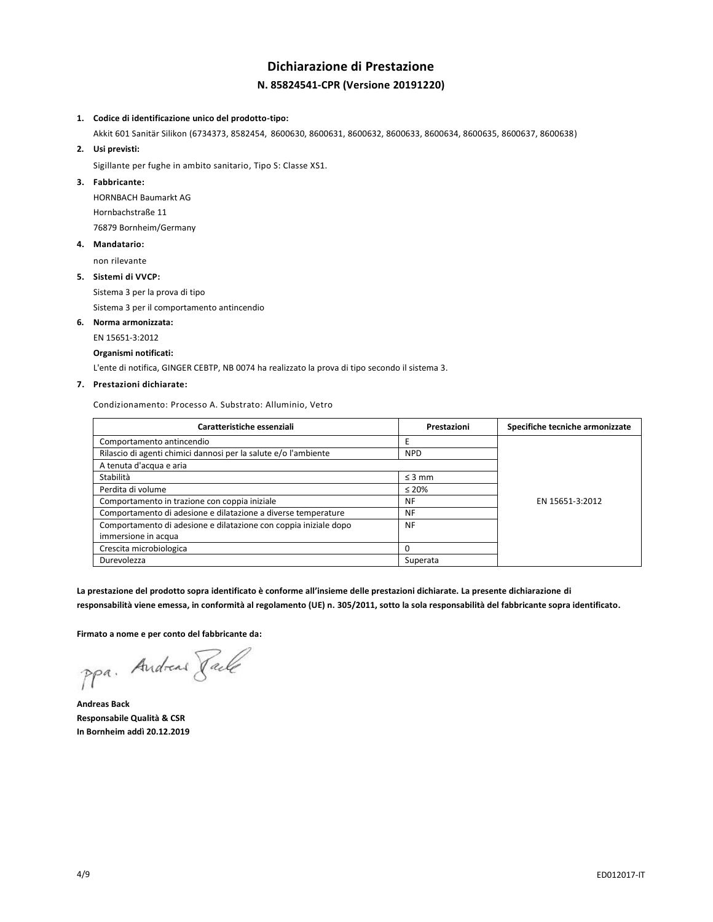# **Dichiarazione di Prestazione N. 85824541-CPR (Versione 20191220)**

#### **1. Codice di identificazione unico del prodotto-tipo:**

Akkit 601 Sanitär Silikon (6734373, 8582454, 8600630, 8600631, 8600632, 8600633, 8600634, 8600635, 8600637, 8600638)

**2. Usi previsti:**

Sigillante per fughe in ambito sanitario, Tipo S: Classe XS1.

## **3. Fabbricante:**

HORNBACH Baumarkt AG Hornbachstraße 11 76879 Bornheim/Germany

#### **4. Mandatario:**

non rilevante

#### **5. Sistemi di VVCP:**

Sistema 3 per la prova di tipo

Sistema 3 per il comportamento antincendio

#### **6. Norma armonizzata:**

EN 15651-3:2012

#### **Organismi notificati:**

L'ente di notifica, GINGER CEBTP, NB 0074 ha realizzato la prova di tipo secondo il sistema 3.

## **7. Prestazioni dichiarate:**

Condizionamento: Processo A. Substrato: Alluminio, Vetro

| Caratteristiche essenziali                                       | Prestazioni | Specifiche tecniche armonizzate |
|------------------------------------------------------------------|-------------|---------------------------------|
| Comportamento antincendio                                        |             |                                 |
| Rilascio di agenti chimici dannosi per la salute e/o l'ambiente  | <b>NPD</b>  |                                 |
| A tenuta d'acqua e aria                                          |             |                                 |
| Stabilità                                                        | $\leq$ 3 mm |                                 |
| Perdita di volume                                                | $\leq 20\%$ |                                 |
| Comportamento in trazione con coppia iniziale                    | NF          | EN 15651-3:2012                 |
| Comportamento di adesione e dilatazione a diverse temperature    | NF          |                                 |
| Comportamento di adesione e dilatazione con coppia iniziale dopo | <b>NF</b>   |                                 |
| immersione in acqua                                              |             |                                 |
| Crescita microbiologica                                          | O           |                                 |
| Durevolezza                                                      | Superata    |                                 |

**La prestazione del prodotto sopra identificato è conforme all'insieme delle prestazioni dichiarate. La presente dichiarazione di** 

**responsabilità viene emessa, in conformità al regolamento (UE) n. 305/2011, sotto la sola responsabilità del fabbricante sopra identificato.**

**Firmato a nome e per conto del fabbricante da:**

ppa. Andreas Face

**Andreas Back Responsabile Qualità & CSR In Bornheim addì 20.12.2019**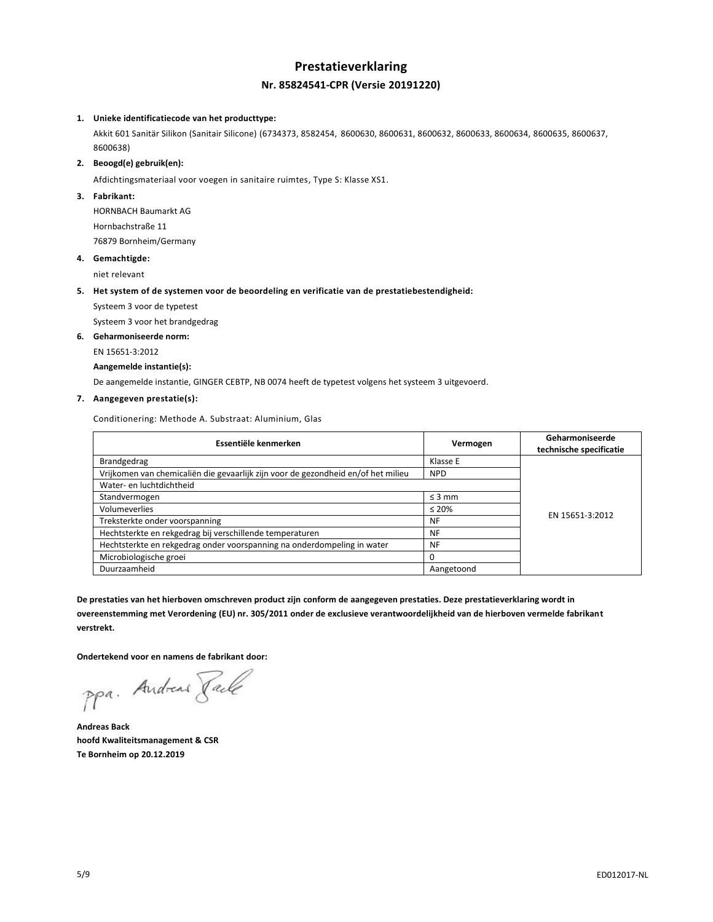## **Prestatieverklaring Nr. 85824541-CPR (Versie 20191220)**

#### **1. Unieke identificatiecode van het producttype:**

Akkit 601 Sanitär Silikon (Sanitair Silicone) (6734373, 8582454, 8600630, 8600631, 8600632, 8600633, 8600634, 8600635, 8600637, 8600638)

#### **2. Beoogd(e) gebruik(en):**

Afdichtingsmateriaal voor voegen in sanitaire ruimtes, Type S: Klasse XS1.

#### **3. Fabrikant:**

HORNBACH Baumarkt AG Hornbachstraße 11 76879 Bornheim/Germany

#### **4. Gemachtigde:**

niet relevant

#### **5. Het system of de systemen voor de beoordeling en verificatie van de prestatiebestendigheid:**

Systeem 3 voor de typetest

Systeem 3 voor het brandgedrag

## **6. Geharmoniseerde norm:**

EN 15651-3:2012

## **Aangemelde instantie(s):**

De aangemelde instantie, GINGER CEBTP, NB 0074 heeft de typetest volgens het systeem 3 uitgevoerd.

## **7. Aangegeven prestatie(s):**

Conditionering: Methode A. Substraat: Aluminium, Glas

| Essentiële kenmerken                                                              | Vermogen    | Geharmoniseerde<br>technische specificatie |
|-----------------------------------------------------------------------------------|-------------|--------------------------------------------|
| Brandgedrag                                                                       | Klasse E    |                                            |
| Vrijkomen van chemicaliën die gevaarlijk zijn voor de gezondheid en/of het milieu | <b>NPD</b>  |                                            |
| Water- en luchtdichtheid                                                          |             |                                            |
| Standvermogen                                                                     | $\leq$ 3 mm |                                            |
| Volumeverlies                                                                     | $\leq 20\%$ | EN 15651-3:2012                            |
| Treksterkte onder voorspanning                                                    | <b>NF</b>   |                                            |
| Hechtsterkte en rekgedrag bij verschillende temperaturen                          | <b>NF</b>   |                                            |
| Hechtsterkte en rekgedrag onder voorspanning na onderdompeling in water           | <b>NF</b>   |                                            |
| Microbiologische groei                                                            | 0           |                                            |
| Duurzaamheid                                                                      | Aangetoond  |                                            |

**De prestaties van het hierboven omschreven product zijn conform de aangegeven prestaties. Deze prestatieverklaring wordt in overeenstemming met Verordening (EU) nr. 305/2011 onder de exclusieve verantwoordelijkheid van de hierboven vermelde fabrikant verstrekt.**

**Ondertekend voor en namens de fabrikant door:**

ppa. Andreas Pale

**Andreas Back hoofd Kwaliteitsmanagement & CSR Te Bornheim op 20.12.2019**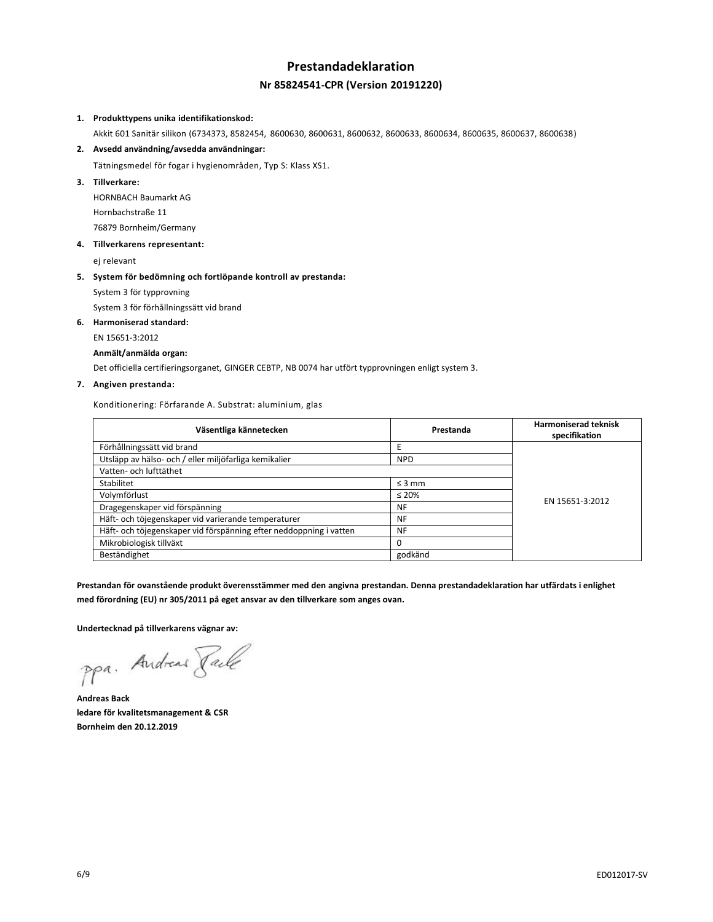# **Prestandadeklaration Nr 85824541-CPR (Version 20191220)**

#### **1. Produkttypens unika identifikationskod:**

Akkit 601 Sanitär silikon (6734373, 8582454, 8600630, 8600631, 8600632, 8600633, 8600634, 8600635, 8600637, 8600638)

## **2. Avsedd användning/avsedda användningar:**

Tätningsmedel för fogar i hygienområden, Typ S: Klass XS1.

**3. Tillverkare:**

HORNBACH Baumarkt AG Hornbachstraße 11 76879 Bornheim/Germany

**4. Tillverkarens representant:**

ej relevant

### **5. System för bedömning och fortlöpande kontroll av prestanda:**

System 3 för typprovning

System 3 för förhållningssätt vid brand

**6. Harmoniserad standard:**

EN 15651-3:2012

#### **Anmält/anmälda organ:**

Det officiella certifieringsorganet, GINGER CEBTP, NB 0074 har utfört typprovningen enligt system 3.

### **7. Angiven prestanda:**

Konditionering: Förfarande A. Substrat: aluminium, glas

| Väsentliga kännetecken                                             | Prestanda   | <b>Harmoniserad teknisk</b><br>specifikation |
|--------------------------------------------------------------------|-------------|----------------------------------------------|
| Förhållningssätt vid brand                                         |             |                                              |
| Utsläpp av hälso- och / eller miljöfarliga kemikalier              | <b>NPD</b>  |                                              |
| Vatten- och lufttäthet                                             |             |                                              |
| Stabilitet                                                         | $\leq$ 3 mm | EN 15651-3:2012                              |
| Volymförlust                                                       | $\leq 20\%$ |                                              |
| Dragegenskaper vid förspänning                                     | NF          |                                              |
| Häft- och töjegenskaper vid varierande temperaturer                | NF          |                                              |
| Häft- och töjegenskaper vid förspänning efter neddoppning i vatten | <b>NF</b>   |                                              |
| Mikrobiologisk tillväxt                                            |             |                                              |
| Beständighet                                                       | godkänd     |                                              |

**Prestandan för ovanstående produkt överensstämmer med den angivna prestandan. Denna prestandadeklaration har utfärdats i enlighet med förordning (EU) nr 305/2011 på eget ansvar av den tillverkare som anges ovan.**

**Undertecknad på tillverkarens vägnar av:**

ppa. Andreas Pale

**Andreas Back ledare för kvalitetsmanagement & CSR Bornheim den 20.12.2019**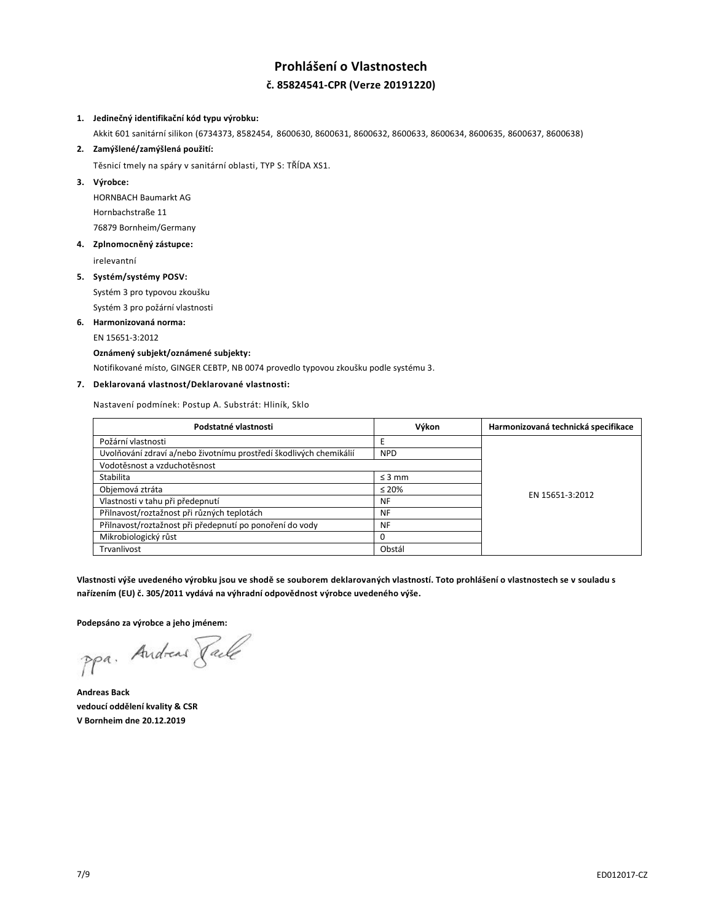# **Prohlášení o Vlastnostech č. 85824541-CPR (Verze 20191220)**

## **1. Jedinečný identifikační kód typu výrobku:**

Akkit 601 sanitární silikon (6734373, 8582454, 8600630, 8600631, 8600632, 8600633, 8600634, 8600635, 8600637, 8600638)

**2. Zamýšlené/zamýšlená použití:**

Těsnicí tmely na spáry v sanitární oblasti, TYP S: TŘÍDA XS1.

**3. Výrobce:**

HORNBACH Baumarkt AG Hornbachstraße 11 76879 Bornheim/Germany

**4. Zplnomocněný zástupce:**

irelevantní

#### **5. Systém/systémy POSV:**

Systém 3 pro typovou zkoušku Systém 3 pro požární vlastnosti

**6. Harmonizovaná norma:**

EN 15651-3:2012

## **Oznámený subjekt/oznámené subjekty:**

Notifikované místo, GINGER CEBTP, NB 0074 provedlo typovou zkoušku podle systému 3.

## **7. Deklarovaná vlastnost/Deklarované vlastnosti:**

Nastavení podmínek: Postup A. Substrát: Hliník, Sklo

| Podstatné vlastnosti                                               | Výkon       | Harmonizovaná technická specifikace |
|--------------------------------------------------------------------|-------------|-------------------------------------|
| Požární vlastnosti                                                 | Ε           |                                     |
| Uvolňování zdraví a/nebo životnímu prostředí škodlivých chemikálií | <b>NPD</b>  |                                     |
| Vodotěsnost a vzduchotěsnost                                       |             |                                     |
| Stabilita                                                          | $\leq$ 3 mm |                                     |
| Objemová ztráta                                                    | $\leq 20\%$ | EN 15651-3:2012                     |
| Vlastnosti v tahu při předepnutí                                   | <b>NF</b>   |                                     |
| Přilnavost/roztažnost při různých teplotách                        | <b>NF</b>   |                                     |
| Přilnavost/roztažnost při předepnutí po ponoření do vody           | <b>NF</b>   |                                     |
| Mikrobiologický růst                                               | 0           |                                     |
| Trvanlivost                                                        | Obstál      |                                     |

**Vlastnosti výše uvedeného výrobku jsou ve shodě se souborem deklarovaných vlastností. Toto prohlášení o vlastnostech se v souladu s nařízením (EU) č. 305/2011 vydává na výhradní odpovědnost výrobce uvedeného výše.**

**Podepsáno za výrobce a jeho jménem:**

ppa. Andreas Faile

**Andreas Back vedoucí oddělení kvality & CSR V Bornheim dne 20.12.2019**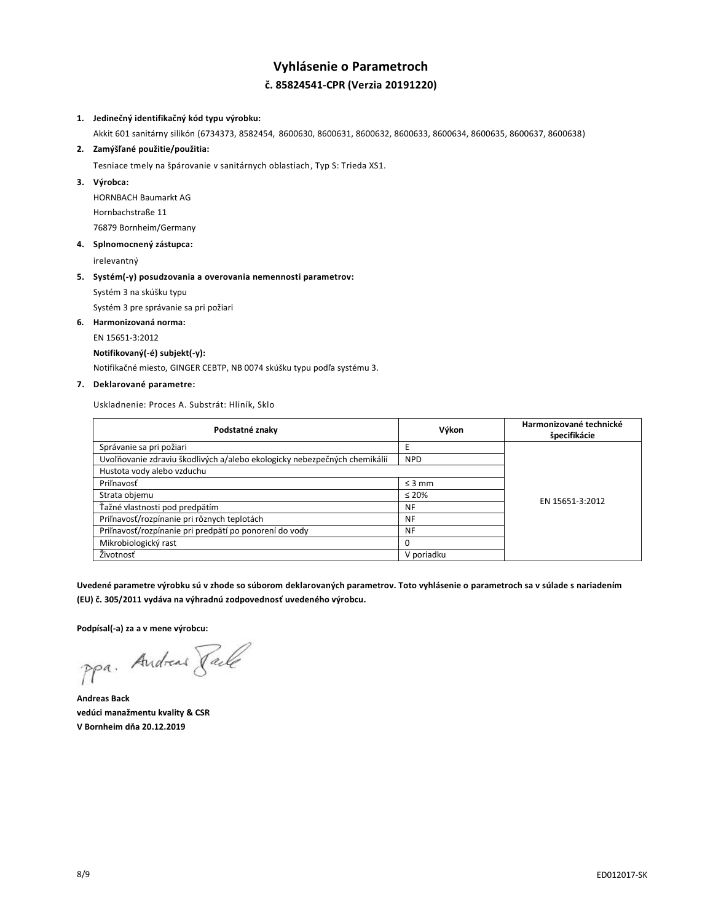# **Vyhlásenie o Parametroch č. 85824541-CPR (Verzia 20191220)**

#### **1. Jedinečný identifikačný kód typu výrobku:**

Akkit 601 sanitárny silikón (6734373, 8582454, 8600630, 8600631, 8600632, 8600633, 8600634, 8600635, 8600637, 8600638)

**2. Zamýšľané použitie/použitia:**

Tesniace tmely na špárovanie v sanitárnych oblastiach, Typ S: Trieda XS1.

**3. Výrobca:**

HORNBACH Baumarkt AG Hornbachstraße 11 76879 Bornheim/Germany

**4. Splnomocnený zástupca:**

irelevantný

#### **5. Systém(-y) posudzovania a overovania nemennosti parametrov:**

Systém 3 na skúšku typu

Systém 3 pre správanie sa pri požiari

**6. Harmonizovaná norma:**

EN 15651-3:2012

#### **Notifikovaný(-é) subjekt(-y):**

Notifikačné miesto, GINGER CEBTP, NB 0074 skúšku typu podľa systému 3.

## **7. Deklarované parametre:**

Uskladnenie: Proces A. Substrát: Hliník, Sklo

| Podstatné znaky                                                           | Výkon       | Harmonizované technické<br>špecifikácie |
|---------------------------------------------------------------------------|-------------|-----------------------------------------|
| Správanie sa pri požiari                                                  |             |                                         |
| Uvoľňovanie zdraviu škodlivých a/alebo ekologicky nebezpečných chemikálií | <b>NPD</b>  |                                         |
| Hustota vody alebo vzduchu                                                |             |                                         |
| Priľnavosť                                                                | $\leq$ 3 mm |                                         |
| Strata objemu                                                             | $\leq 20\%$ |                                         |
| Ťažné vlastnosti pod predpätím                                            | NF          | EN 15651-3:2012                         |
| Priľnavosť/rozpínanie pri rôznych teplotách                               | NF          |                                         |
| Priľnavosť/rozpínanie pri predpätí po ponorení do vody                    | <b>NF</b>   |                                         |
| Mikrobiologický rast                                                      |             |                                         |
| Životnosť                                                                 | V poriadku  |                                         |

**Uvedené parametre výrobku sú v zhode so súborom deklarovaných parametrov. Toto vyhlásenie o parametroch sa v súlade s nariadením (EU) č. 305/2011 vydáva na výhradnú zodpovednosť uvedeného výrobcu.**

**Podpísal(-a) za a v mene výrobcu:**

ppa. Andreas Face

**Andreas Back vedúci manažmentu kvality & CSR V Bornheim dňa 20.12.2019**